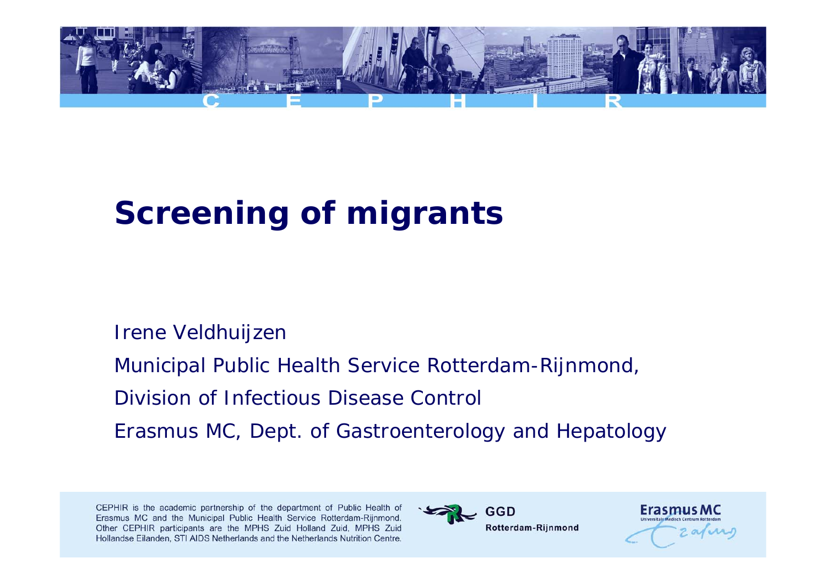

# **Screening of migrants**

#### Irene Veldhuijzen

Municipal Public Health Service Rotterdam-Rijnmond,

Division of Infectious Disease Control

Erasmus MC, Dept. of Gastroenterology and Hepatology



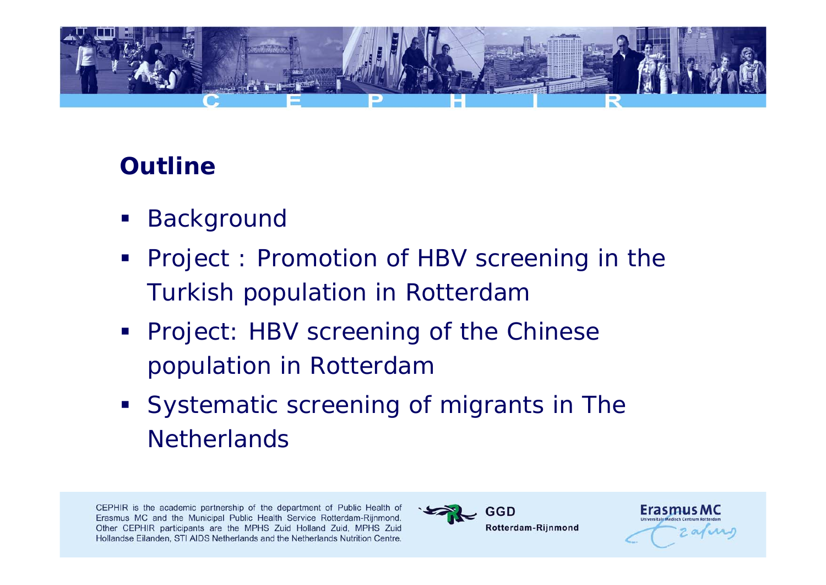

# **Outline**

- $\mathcal{L}_{\mathcal{A}}$ Background
- Project : Promotion of HBV screening in the Turkish population in Rotterdam
- **Project: HBV screening of the Chinese** population in Rotterdam
- **Systematic screening of migrants in The Netherlands**



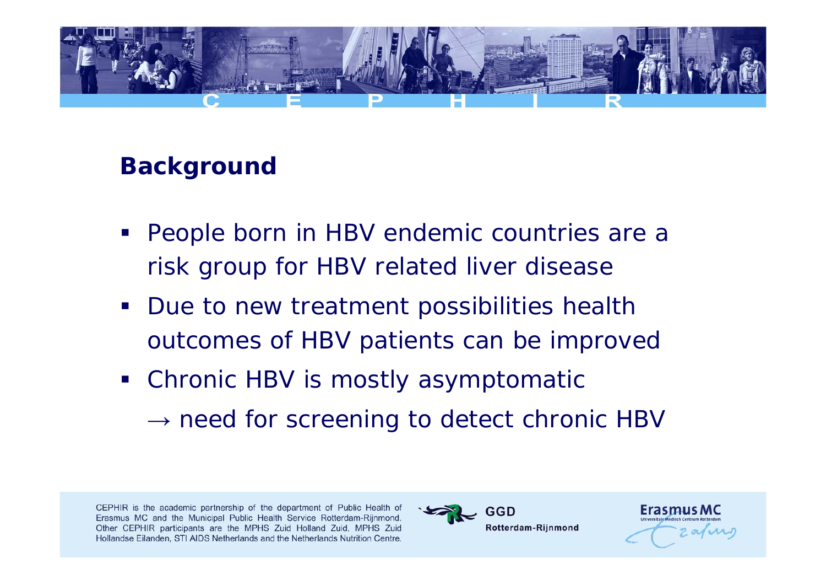

# **Background**

- People born in HBV endemic countries are a risk group for HBV related liver disease
- **Due to new treatment possibilities health** outcomes of HBV patients can be improved
- Chronic HBV is mostly asymptomatic  $\rightarrow$  need for screening to detect chronic HBV



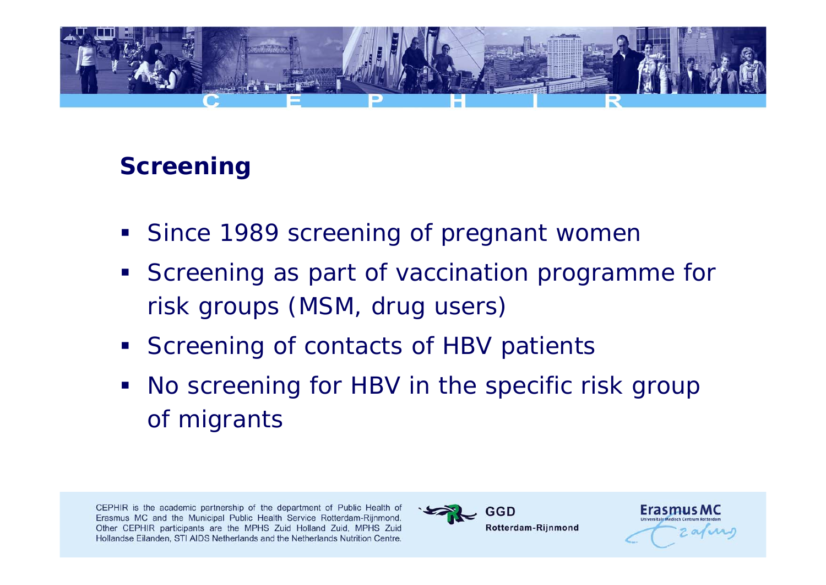

#### **Screening**

- $\mathbb{Z}^{\mathbb{Z}}$ Since 1989 screening of pregnant women
- **Screening as part of vaccination programme for** risk groups (MSM, drug users)
- **Screening of contacts of HBV patients**
- $\mathcal{L}^{\text{max}}_{\text{max}}$  No screening for HBV in the specific risk group of migrants



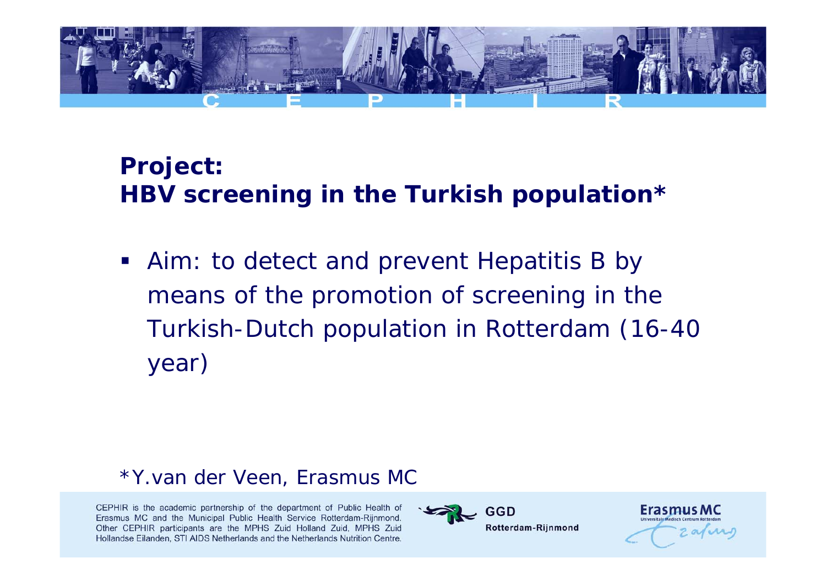

# **Project: HBV screening in the Turkish population\***

**Aim: to detect and prevent Hepatitis B by** means of the promotion of screening in the Turkish-Dutch population in Rotterdam (16-40 year)

#### \*Y.van der Veen, Erasmus MC



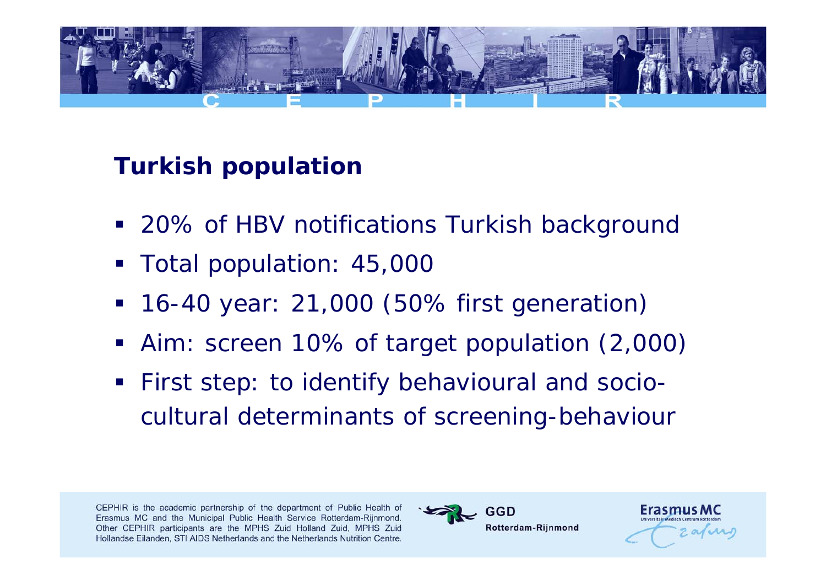

# **Turkish population**

- 20% of HBV notifications Turkish background
- Total population: 45,000
- **Service Service** 16-40 year: 21,000 (50% first generation)
- Aim: screen 10% of target population (2,000)
- **First step: to identify behavioural and socio**cultural determinants of screening-behaviour



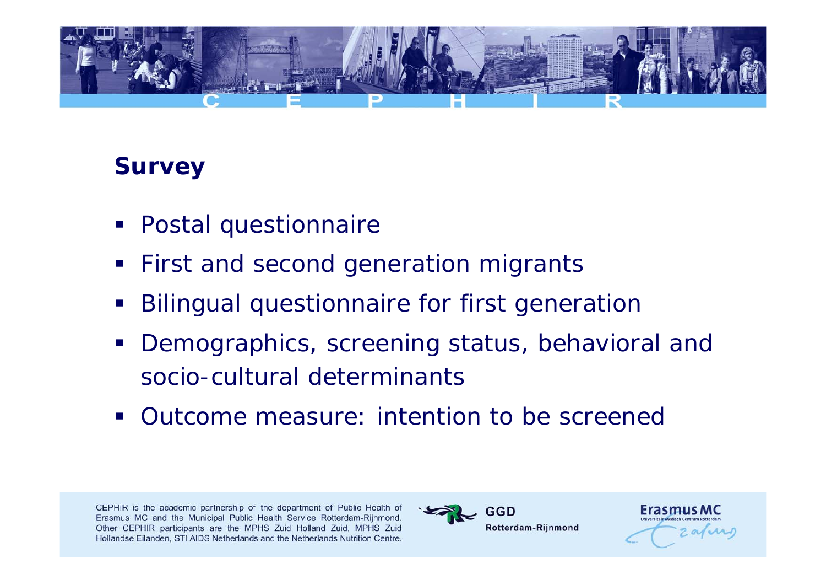

#### **Survey**

- Postal questionnaire
- **First and second generation migrants**
- **Service Service** Bilingual questionnaire for first generation
- $\mathcal{L}_{\mathcal{A}}$  Demographics, screening status, behavioral and socio-cultural determinants
- **Outcome measure: intention to be screened**



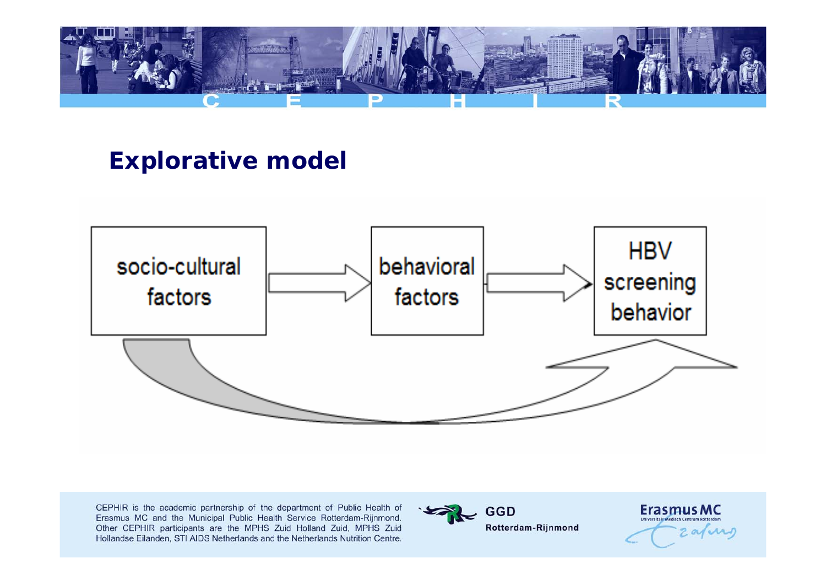

#### **Explorative model**





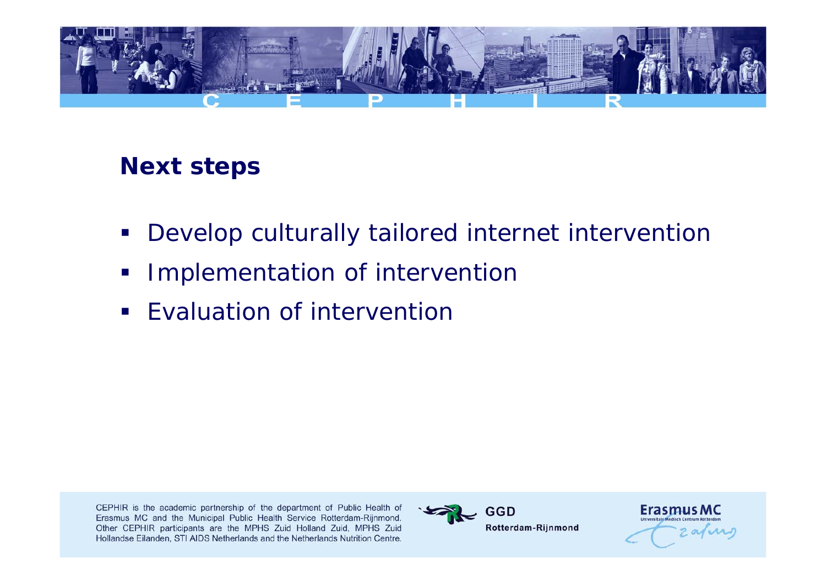

#### **Next steps**

- $\blacksquare$ Develop culturally tailored internet intervention
- Implementation of intervention
- $\blacksquare$ Evaluation of intervention



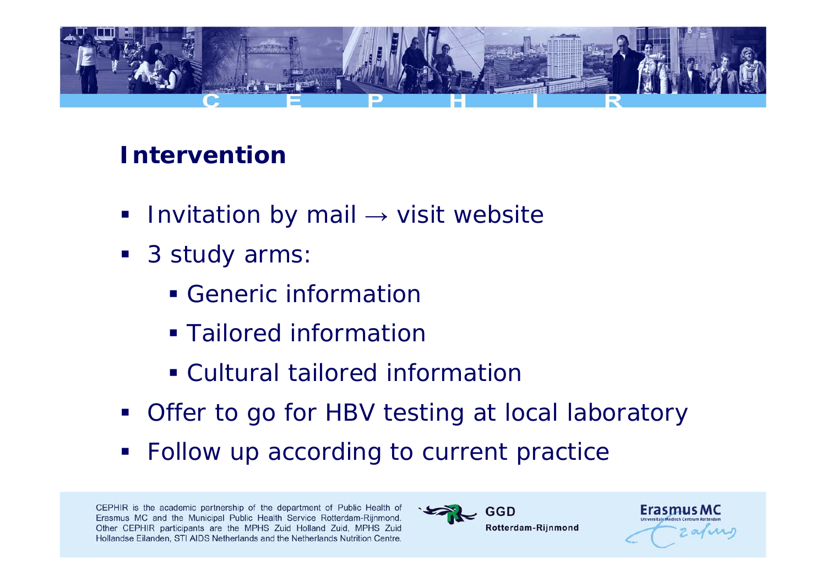

#### **Intervention**

- $\blacksquare$ Invitation by mail  $\rightarrow$  visit website
- 3 study arms:
	- **Generic information**
	- **Tailored information**
	- Cultural tailored information
- **Offer to go for HBV testing at local laboratory**
- Follow up according to current practice



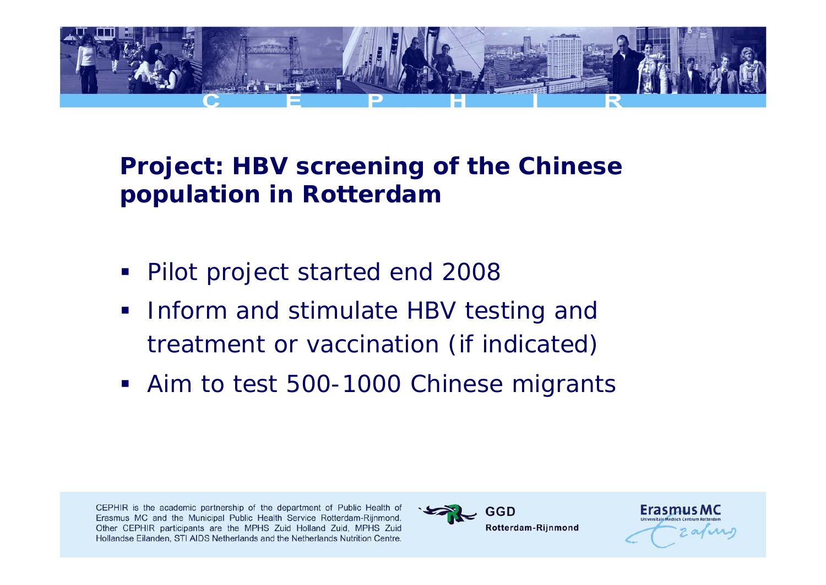

### **Project: HBV screening of the Chinese population in Rotterdam**

- Pilot project started end 2008
- $\mathcal{L}_{\mathcal{A}}$  Inform and stimulate HBV testing and treatment or vaccination (if indicated)
- **Aim to test 500-1000 Chinese migrants**



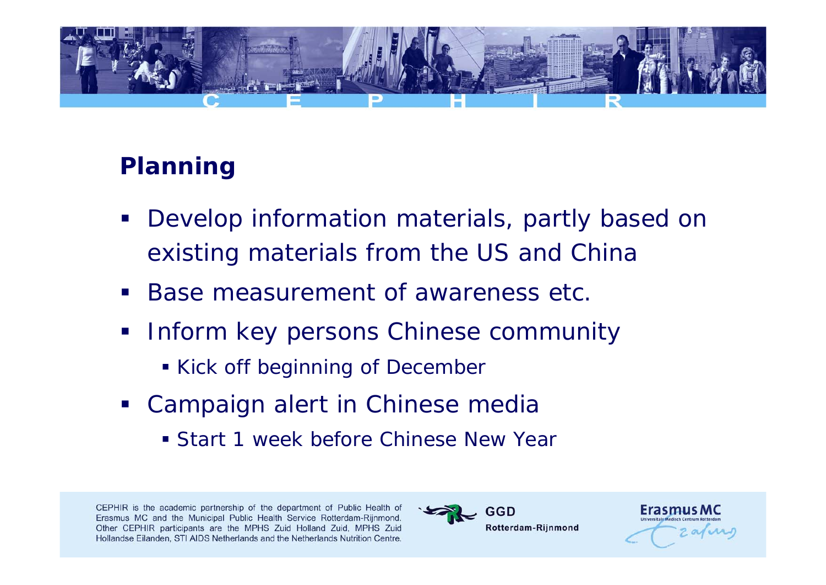

# **Planning**

- $\mathcal{L}_{\mathcal{A}}$  Develop information materials, partly based on existing materials from the US and China
- Base measurement of awareness etc.
- Inform key persons Chinese community
	- **Kick off beginning of December**
- **Campaign alert in Chinese media** 
	- Start 1 week before Chinese New Year



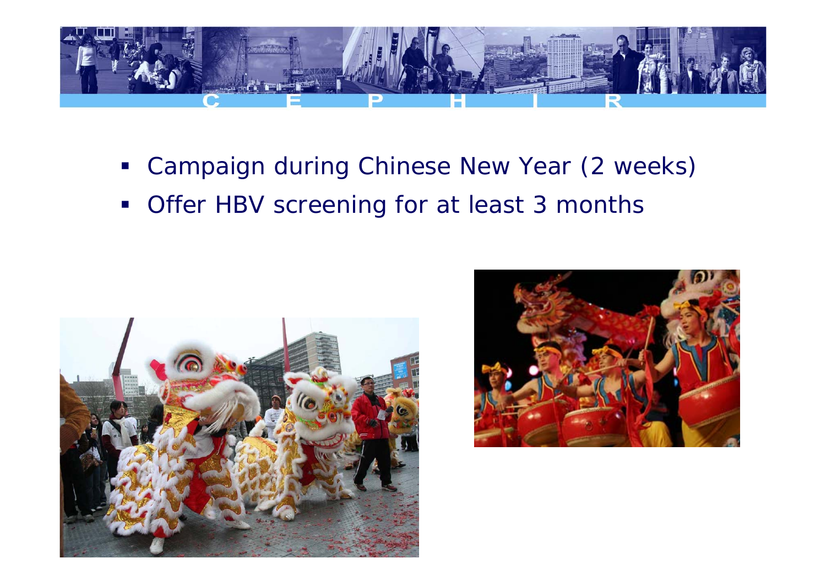

- Campaign during Chinese New Year (2 weeks)
- $\mathcal{L}_{\mathcal{A}}$ Offer HBV screening for at least 3 months



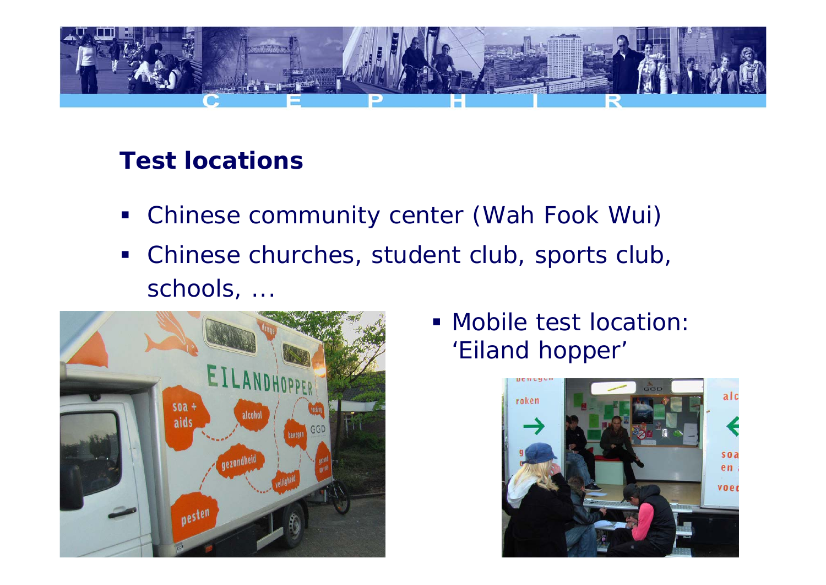

# **Test locations**

- $\mathcal{L}_{\mathcal{A}}$ Chinese community center (Wah Fook Wui)
- $\mathcal{L}_{\mathcal{A}}$  Chinese churches, student club, sports club, schools, ...



 Mobile test location: 'Eiland hopper'

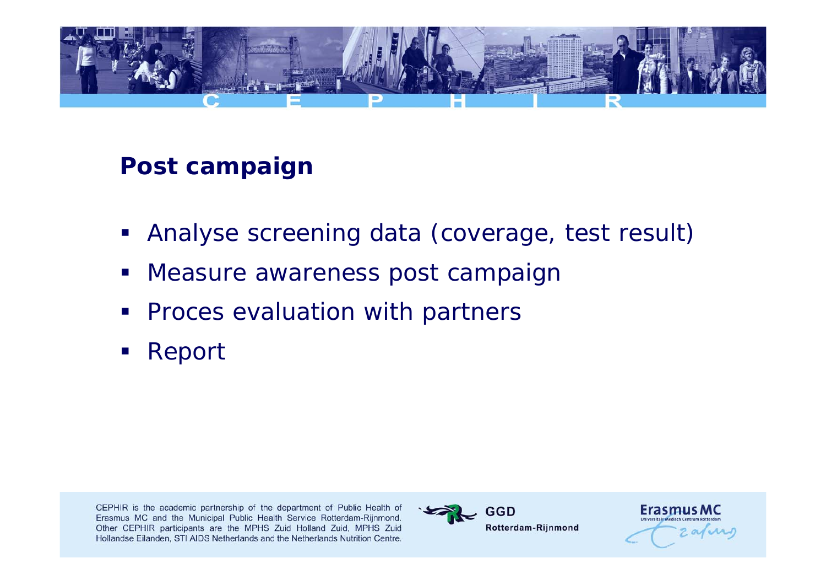

#### **Post campaign**

- $\mathcal{L}_{\mathcal{A}}$ Analyse screening data (coverage, test result)
- Measure awareness post campaign
- $\mathcal{L}(\mathcal{L})$  and  $\mathcal{L}(\mathcal{L})$  and  $\mathcal{L}(\mathcal{L})$ Proces evaluation with partners
- $\mathcal{L}(\mathcal{L})$  and  $\mathcal{L}(\mathcal{L})$  and  $\mathcal{L}(\mathcal{L})$ Report



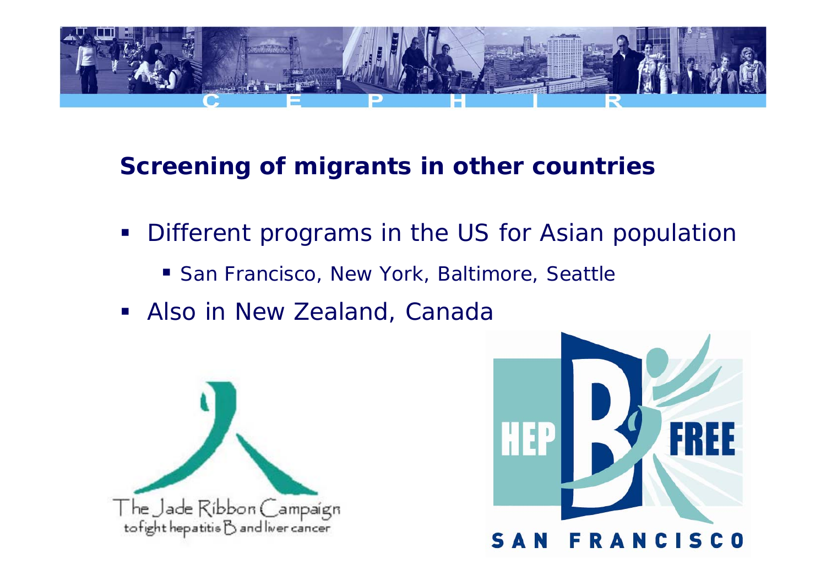

#### **Screening of migrants in other countries**

- Different programs in the US for Asian population
	- San Francisco, New York, Baltimore, Seattle
- $\mathcal{L}^{\mathcal{L}}$ Also in New Zealand, Canada



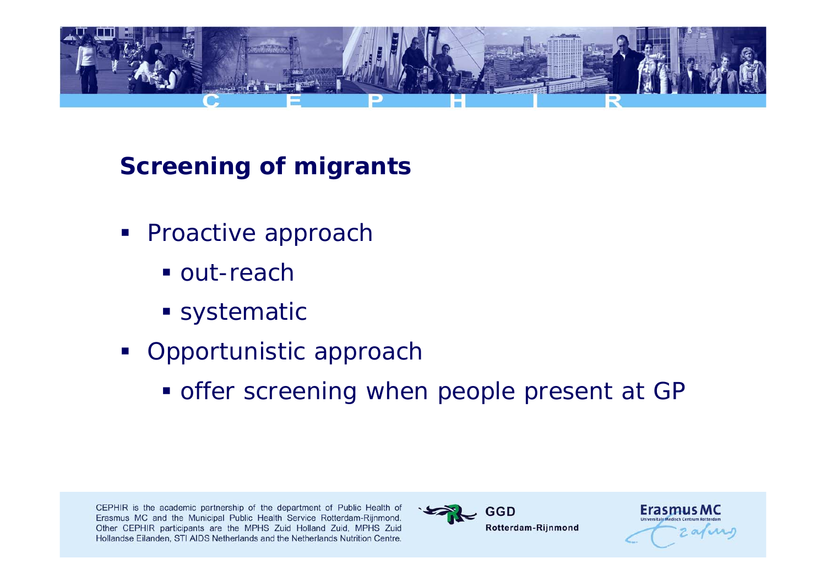

# **Screening of migrants**

- **Proactive approach** 
	- out-reach
	- **Systematic**
- **Opportunistic approach** 
	- **offer screening when people present at GP**



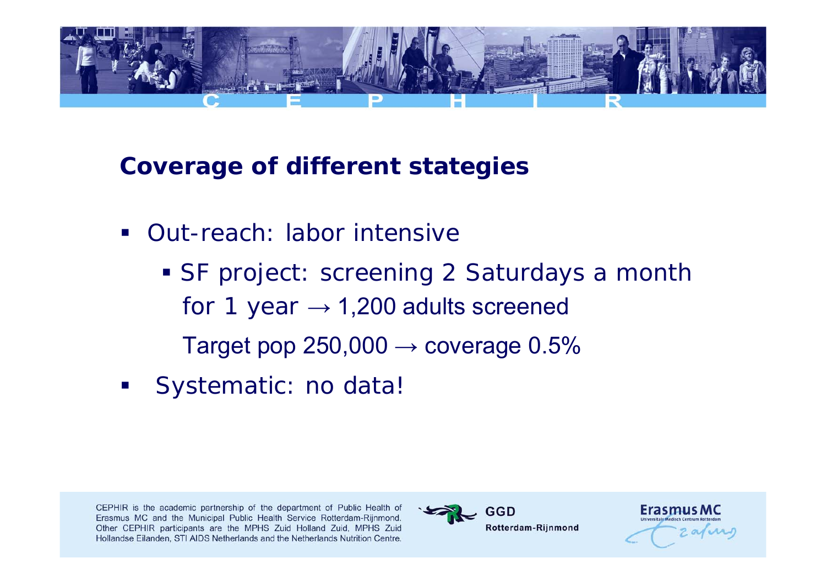

#### **Coverage of different stategies**

- Out-reach: labor intensive
	- SF project: screening 2 Saturdays a month for 1 year  $\rightarrow$  1,200 adults screened Target pop 250,000  $\rightarrow$  coverage 0.5%
- Systematic: no data!



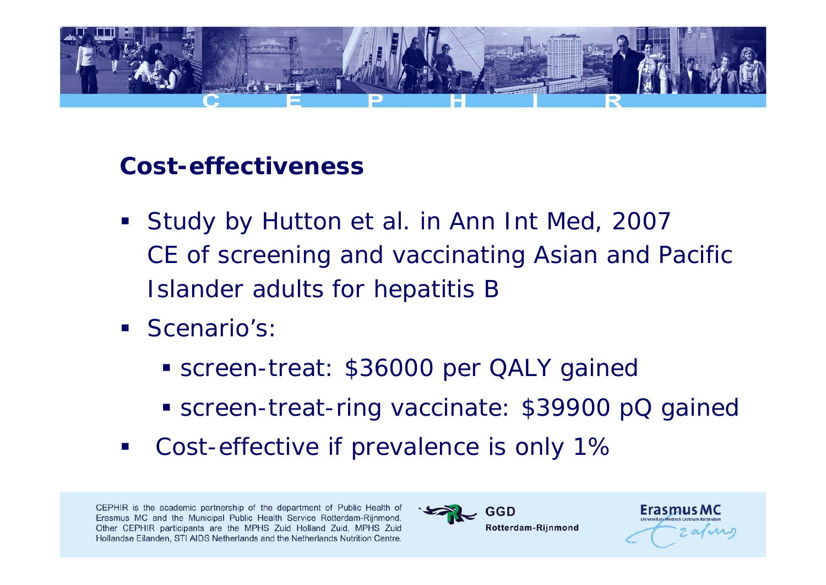

#### **Cost-effectiveness**

- Study by Hutton et al. in Ann Int Med, 2007 CE of screening and vaccinating Asian and Pacific Islander adults for hepatitis B
- **Scenario's:** 
	- screen-treat: \$36000 per QALY gained
	- **Screen-treat-ring vaccinate: \$39900 pQ gained**
- Cost-effective if prevalence is only 1%



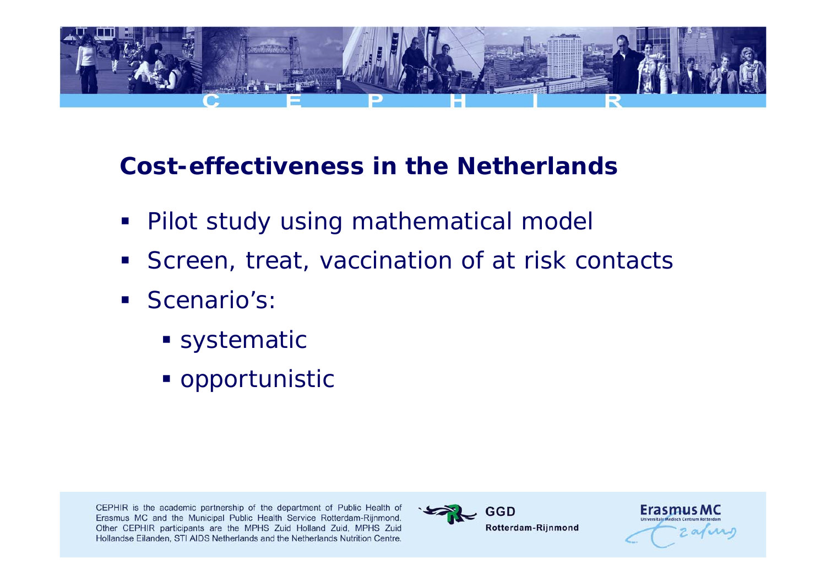

### **Cost-effectiveness in the Netherlands**

- Pilot study using mathematical model
- $\blacksquare$ Screen, treat, vaccination of at risk contacts
- **Scenario's:** 
	- **Systematic**
	- opportunistic



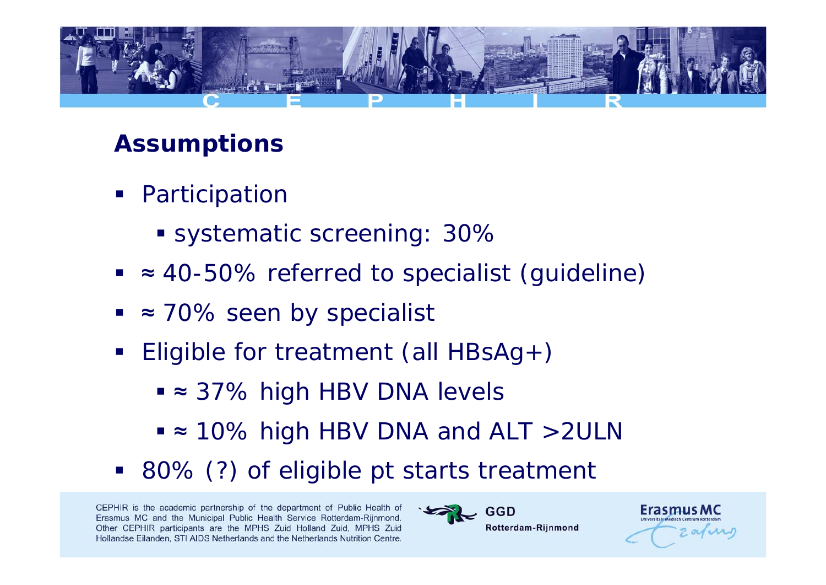

#### **Assumptions**

- **•** Participation
	- systematic screening: 30%
- ≈ 40-50% referred to specialist (guideline)
- ≈ 70% seen by specialist
- $\overline{\phantom{a}}$  Eligible for treatment (all HBsAg+)
	- <sup>≈</sup> 37% high HBV DNA levels
	- <sup>≈</sup> 10% high HBV DNA and ALT >2ULN
- 80% (?) of eligible pt starts treatment